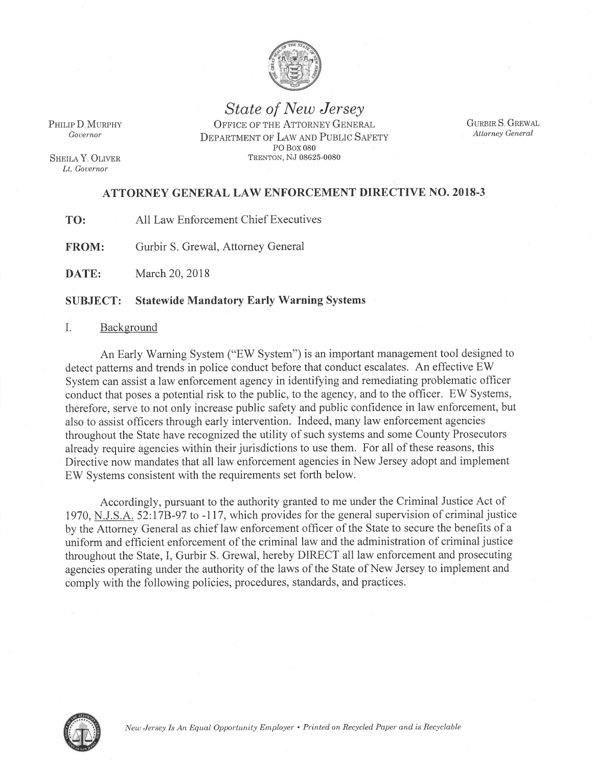

State of New Jersey PHILIP D. MURPHY OFFICE OF THE ATTORNEY GENERAL Governor **DEPARTMENT OF LAW AND PUBLIC SAFETY** PO Box 080 SHEILA Y. OLIVER TRENTON, NJ 08625-0080

GURBIR S. GREWAL Attorney General

Lt. Governor

# ATTORNEY GENERAL LAW ENFORCEMENT DIRECTIVE NO.2018-3

TO: All Law Enforcement Chief Executives

FROM: Gurbir S. Grewal, Attorney General

DATE: March 20, 2018

## SUBJECT: Statewide Mandatory Early Warning Systems

## I. Background

<sup>A</sup>n Early Warning System ("EW System") is an important management tool designed to detect patterns and trends in police conduct before that conduct escalates. An effective EW System can assist a law enforcement agency in identifying and remediating problematic officer conduct that poses a potential risk to the public, to the agency, and to the officer. EW Systems, <sup>t</sup>herefore, serve to not only increase public safety and public confidence in law enforcement, but <sup>a</sup>lso to assist officers through early intervention. Indeed, many law enforcement agencies <sup>t</sup>hroughout the State have recognized the utility of such systems and some County Prosecutors <sup>a</sup>lready require agencies within their jurisdictions to use them. For all of these reasons, this Directive now mandates that all law enforcement agencies in New Jersey adopt and implement EW Systems consistent with the requirements set forth below.

<sup>A</sup>ccordingly, pursuant to the authority granted to me under the Criminal Justice Act of 1970, N.J.S.A. 52:17B-97 to -117, which provides for the general supervision of criminal justice <sup>b</sup>y the Attorney General as chief law enforcement officer of the State to secure the benefits of <sup>a</sup> <sup>u</sup>niform and efficient enforcement of the criminal law and the administration of criminal justice <sup>t</sup>hroughout the State, I, Gurbir S. Grewal, hereby DIRECT all law enforcement and prosecuting <sup>a</sup>gencies operating under the authority of the laws of the State of New Jersey to implement and <sup>c</sup>omply with the following policies, procedures, standards, and practices.

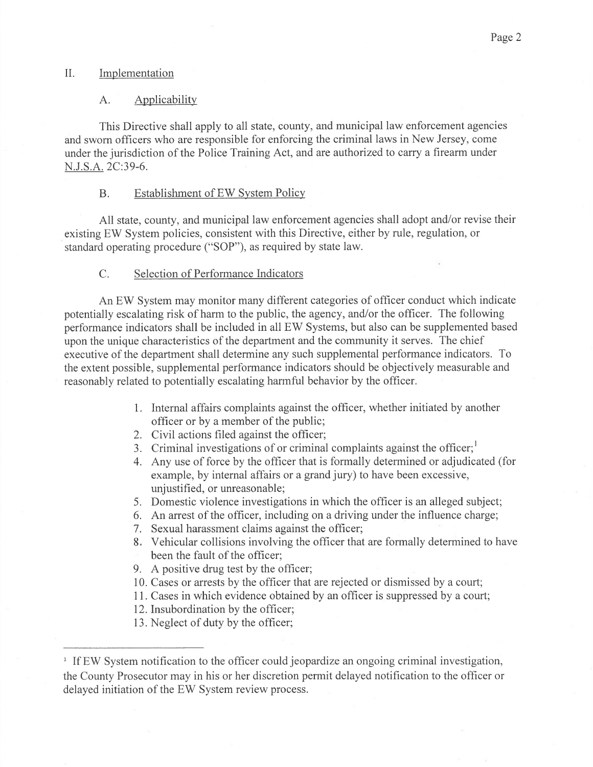### II. Implementation

#### A. Applicability

This Directive shall apply to all state, county, and municipal law enforcement agencies and sworn officers who are responsible for enforcing the criminal laws in New Jersey, come under the jurisdiction of the Police Training Act, and are authorized to carry a firearm under N.J.S.A. 2C:39-6.

## B. Establishment of EW System Policy

All state, county, and municipal law enforcement agencies shall adopt and/or revise their existing EW System policies, consistent with this Directive, either by rule, regulation, or standard operating procedure ("SOP"), as required by state law.

### C. Selection of Performance Indicators

An EW System may monitor many different categories of officer conduct which indicate potentially escalating risk of harm to the public, the agency, and/or the officer. The following performance indicators shall be included in all EW Systems, but also can be supplemented based upon the unique characteristics of the department and the community it serves. The chief executive of the department shall determine any such supplemental performance indicators. To the extent possible, supplemental performance indicators should be objectively measurable and reasonably related to potentially escalating harmful behavior by the officer.

- 1. Internal affairs complaints against the officer, whether initiated by another officer or by a member of the public;
- 2. Civil actions filed against the officer;
- 3. Criminal investigations of or criminal complaints against the officer;
- 4. Any use of force by the officer that is formally determined or adjudicated (for example, by internal affairs or a grand jury) to have been excessive, unjustified, or unreasonable;
- 5. Domestic violence investigations in which the officer is an alleged subject;
- 6. An arrest of the officer, including on a driving under the influence charge;
- 7. Sexual harassment claims against the officer;
- 8. Vehicular collisions involving the officer that are formally determined to have been the fault of the officer;
- 9. A positive drug test by the officer;
- 10. Cases or arrests by the officer that are rejected or dismissed by a court;
- 11. Cases in which evidence obtained by an officer is suppressed by a court;
- 12. Insubordination by the officer;
- 13. Neglect of duty by the officer;

<sup>&</sup>lt;sup>1</sup> If EW System notification to the officer could jeopardize an ongoing criminal investigation, the County Prosecutor may in his or her discretion permit delayed notification to the officer or delayed initiation of the EW System review process.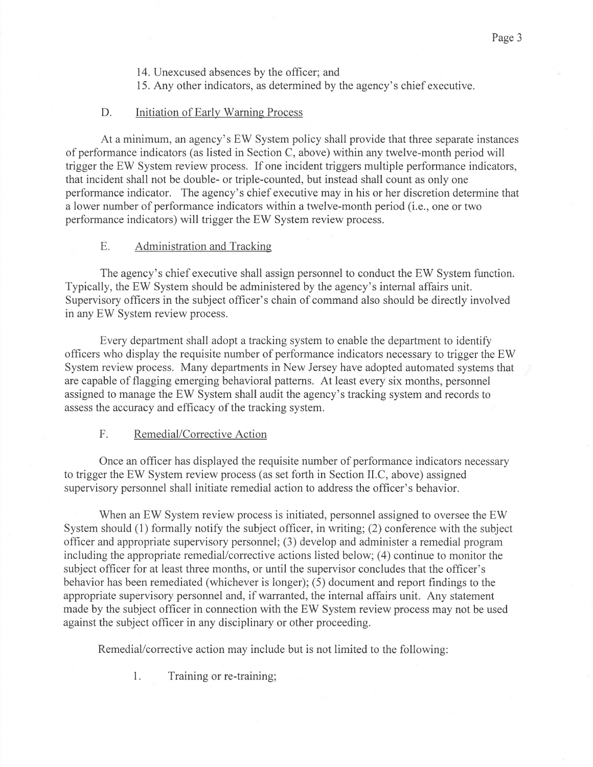- 14. Unexcused absences by the officer; and
- 15. Any other indicators, as determined by the agency's chief executive.

## D. Initiation of Early Warning Process

At a minimum, an agency's EW System policy shall provide that three separate instances of performance indicators (as listed in Section C, above) within any twelve-month period will trigger the EW System review process. If one incident triggers multiple performance indicators, that incident shall not be double- or triple-counted, but instead shall count as only one performance indicator. The agency's chief executive may in his or her discretion determine that a lower number of performance indicators within atwelve-month period (i.e., one or two performance indicators) will trigger the EW System review process.

## E. Administration and Tracking

The agency's chief executive shall assign personnel to conduct the EW System function. Typically, the EW System should be administered by the agency's internal affairs unit. Supervisory officers in the subject officer's chain of command also should be directly involved in any EW System review process.

Every department shall adopt a tracking system to enable the department to identify officers who display the requisite number of performance indicators necessary to trigger the EW System review process. Many departments in New Jersey have adopted automated systems that are capable of flagging emerging behavioral patterns. At least every six months, personnel assigned to manage the EW System shall audit the agency's tracking system and records to assess the accuracy and efficacy of the tracking system.

## F. Remedial/Corrective Action

Once an officer has displayed the requisite number of performance indicators necessary to trigger the EW System review process (as set forth in Section II.C, above) assigned supervisory personnel shall initiate remedial action to address the officer's behavior.

When an EW System review process is initiated, personnel assigned to oversee the EW System should (1) formally notify the subject officer, in writing; (2) conference with the subject officer and appropriate supervisory personnel; (3) develop and administer a remedial program including the appropriate remedial/corrective actions listed below; (4) continue to monitor the subject officer for at least three months, or until the supervisor concludes that the officer's behavior has been remediated (whichever is longer); (5) document and report findings to the appropriate supervisory personnel and, if warranted, the internal affairs unit. Any statement made by the subject officer in connection with the EW System review process may not be used against the subject officer in any disciplinary or other proceeding.

Remedial/corrective action may include but is not limited to the following:

1. Training or re-training;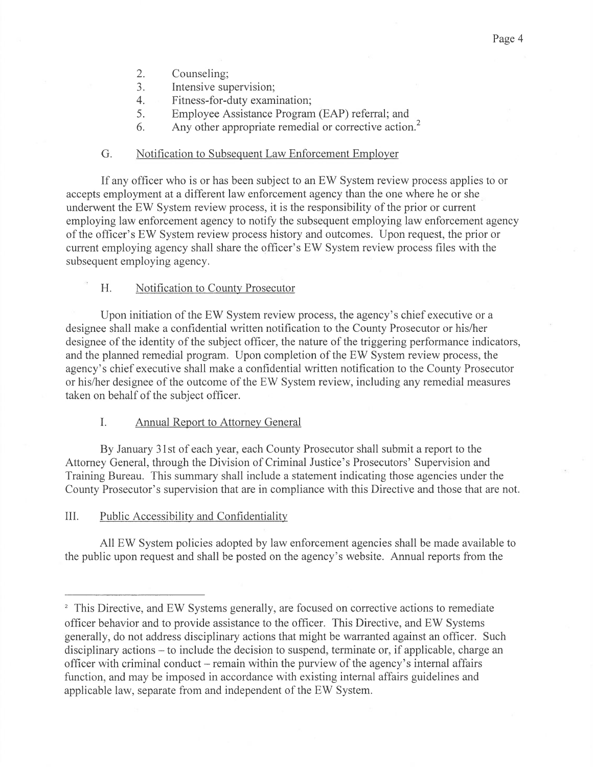- 2. Counseling;
- 3. Intensive supervision;
- 4. Fitness-for-duty examination;
- 5. Employee Assistance Program (EAP) referral; and
- 6. Any other appropriate remedial or corrective action.<sup>2</sup>

### G. Notification to Subsequent Law Enforcement Employer

If any officer who is or has been subject to an EW System review process applies to or accepts employment at a different law enforcement agency than the one where he or she underwent the EW System review process, it is the responsibility of the prior or current employing law enforcement agency to notify the subsequent employing law enforcement agency of the officer's EW System review process history and outcomes. Upon request, the prior or current employing agency shall share the officer's EW System review process files with the subsequent employing agency.

## H. Notification to County Prosecutor

Upon initiation of the EW System review process, the agency's chief executive or a designee shall make a confidential written notification to the County Prosecutor or his/her designee of the identity of the subject officer, the nature of the triggering performance indicators, and the planned remedial program. Upon completion of the EW System review process, the agency's chief executive shall make a confidential written notification to the County Prosecutor or his/her designee of the outcome of the EW System review, including any remedial measures taken on behalf of the subject officer.

#### I. Annual Report to Attorney General

By January 31st of each year, each County Prosecutor shall submit a report to the Attorney General, through the Division of Criminal Justice's Prosecutors' Supervision and Training Bureau. This summary shall include a statement indicating those agencies under the County Prosecutor's supervision that are in compliance with this Directive and those that are not.

## III. Public Accessibility and Confidentiali

All EW System policies adopted by law enforcement agencies shall be made available to the public upon request and shall be posted on the agency's website. Annual reports from the

<sup>&</sup>lt;sup>2</sup> This Directive, and EW Systems generally, are focused on corrective actions to remediate officer behavior and to provide assistance to the officer. This Directive, and EW Systems generally, do not address disciplinary actions that might be warranted against an officer. Such disciplinary actions — to include the decision to suspend, terminate or, if applicable, charge an officer with criminal conduct —remain within the purview of the agency's internal affairs function, and may be imposed in accordance with existing internal affairs guidelines and applicable law, separate from and independent of the EW System.